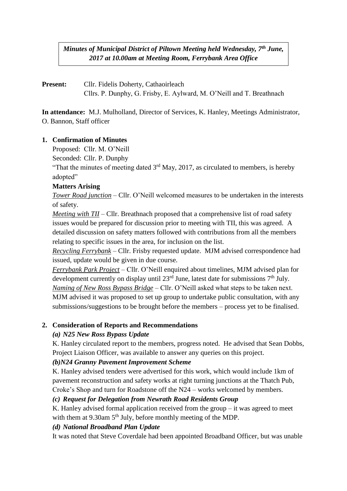*Minutes of Municipal District of Piltown Meeting held Wednesday, 7th June, 2017 at 10.00am at Meeting Room, Ferrybank Area Office*

# **Present:** Cllr. Fidelis Doherty, Cathaoirleach Cllrs. P. Dunphy, G. Frisby, E. Aylward, M. O'Neill and T. Breathnach

**In attendance:** M.J. Mulholland, Director of Services, K. Hanley, Meetings Administrator, O. Bannon, Staff officer

## **1. Confirmation of Minutes**

Proposed: Cllr. M. O'Neill

Seconded: Cllr. P. Dunphy

"That the minutes of meeting dated  $3<sup>rd</sup>$  May, 2017, as circulated to members, is hereby adopted"

### **Matters Arising**

*Tower Road junction* – Cllr. O'Neill welcomed measures to be undertaken in the interests of safety.

*Meeting with TII* – Cllr. Breathnach proposed that a comprehensive list of road safety issues would be prepared for discussion prior to meeting with TII, this was agreed. A detailed discussion on safety matters followed with contributions from all the members relating to specific issues in the area, for inclusion on the list.

*Recycling Ferrybank* – Cllr. Frisby requested update. MJM advised correspondence had issued, update would be given in due course.

*Ferrybank Park Project* – Cllr. O'Neill enquired about timelines, MJM advised plan for development currently on display until  $23<sup>rd</sup>$  June, latest date for submissions  $7<sup>th</sup>$  July. *Naming of New Ross Bypass Bridge* – Cllr. O'Neill asked what steps to be taken next. MJM advised it was proposed to set up group to undertake public consultation, with any submissions/suggestions to be brought before the members – process yet to be finalised.

## **2. Consideration of Reports and Recommendations**

## *(a) N25 New Ross Bypass Update*

K. Hanley circulated report to the members, progress noted. He advised that Sean Dobbs, Project Liaison Officer, was available to answer any queries on this project.

## *(b)N24 Granny Pavement Improvement Scheme*

K. Hanley advised tenders were advertised for this work, which would include 1km of pavement reconstruction and safety works at right turning junctions at the Thatch Pub, Croke's Shop and turn for Roadstone off the N24 – works welcomed by members.

## *(c) Request for Delegation from Newrath Road Residents Group*

K. Hanley advised formal application received from the group  $-$  it was agreed to meet with them at 9.30am 5<sup>th</sup> July, before monthly meeting of the MDP.

## *(d) National Broadband Plan Update*

It was noted that Steve Coverdale had been appointed Broadband Officer, but was unable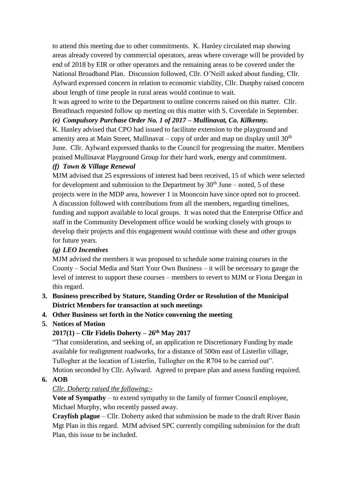to attend this meeting due to other commitments. K. Hanley circulated map showing areas already covered by commercial operators, areas where coverage will be provided by end of 2018 by EIR or other operators and the remaining areas to be covered under the National Broadband Plan. Discussion followed, Cllr. O'Neill asked about funding, Cllr. Aylward expressed concern in relation to economic viability, Cllr. Dunphy raised concern about length of time people in rural areas would continue to wait.

It was agreed to write to the Department to outline concerns raised on this matter. Cllr. Breathnach requested follow up meeting on this matter with S. Coverdale in September.

## *(e) Compulsory Purchase Order No. 1 of 2017 – Mullinavat, Co. Kilkenny.*

K. Hanley advised that CPO had issued to facilitate extension to the playground and amenity area at Main Street, Mullinavat – copy of order and map on display until  $30<sup>th</sup>$ June. Cllr. Aylward expressed thanks to the Council for progressing the matter. Members praised Mullinavat Playground Group for their hard work, energy and commitment.

## *(f) Town & Village Renewal*

MJM advised that 25 expressions of interest had been received, 15 of which were selected for development and submission to the Department by  $30<sup>th</sup>$  June – noted, 5 of these projects were in the MDP area, however 1 in Mooncoin have since opted not to proceed. A discussion followed with contributions from all the members, regarding timelines, funding and support available to local groups. It was noted that the Enterprise Office and staff in the Community Development office would be working closely with groups to develop their projects and this engagement would continue with these and other groups for future years.

## *(g) LEO Incentives*

MJM advised the members it was proposed to schedule some training courses in the County – Social Media and Start Your Own Business – it will be necessary to gauge the level of interest to support these courses – members to revert to MJM or Fiona Deegan in this regard.

- **3. Business prescribed by Stature, Standing Order or Resolution of the Municipal District Members for transaction at such meetings**
- **4. Other Business set forth in the Notice convening the meeting**
- **5. Notices of Motion**

# **2017(1) – Cllr Fidelis Doherty – 26th May 2017**

"That consideration, and seeking of, an application re Discretionary Funding by made available for realignment roadworks, for a distance of 500m east of Listerlin village, Tullogher at the location of Listerlin, Tullogher on the R704 to be carried out". Motion seconded by Cllr. Aylward. Agreed to prepare plan and assess funding required.

## **6. AOB**

# *Cllr. Doherty raised the following:-*

**Vote of Sympathy** – to extend sympathy to the family of former Council employee, Michael Murphy, who recently passed away.

**Crayfish plague** – Cllr. Doherty asked that submission be made to the draft River Basin Mgt Plan in this regard. MJM advised SPC currently compiling submission for the draft Plan, this issue to be included.